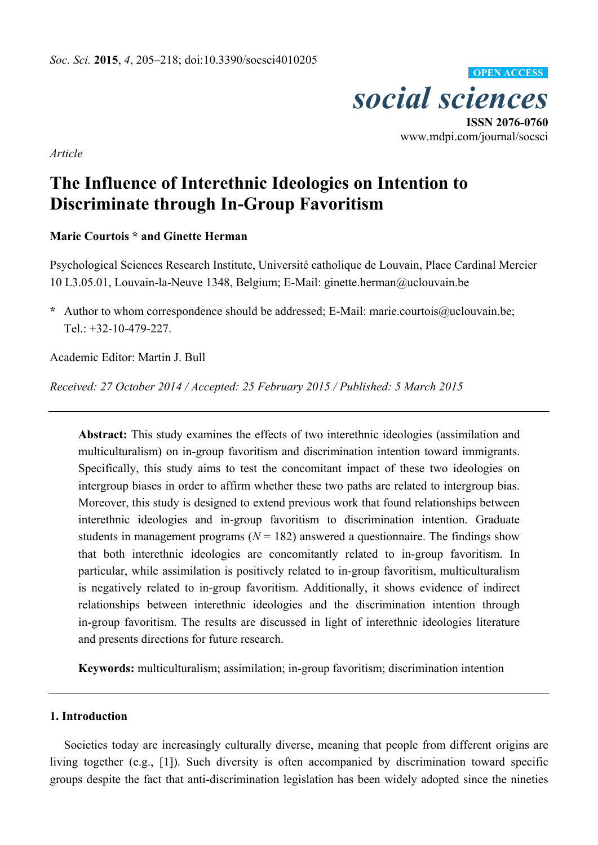

*Article* 

# **The Influence of Interethnic Ideologies on Intention to Discriminate through In-Group Favoritism**

## **Marie Courtois \* and Ginette Herman**

Psychological Sciences Research Institute, Université catholique de Louvain, Place Cardinal Mercier 10 L3.05.01, Louvain-la-Neuve 1348, Belgium; E-Mail: ginette.herman@uclouvain.be

**\*** Author to whom correspondence should be addressed; E-Mail: marie.courtois@uclouvain.be; Tel.: +32-10-479-227.

Academic Editor: Martin J. Bull

*Received: 27 October 2014 / Accepted: 25 February 2015 / Published: 5 March 2015* 

**Abstract:** This study examines the effects of two interethnic ideologies (assimilation and multiculturalism) on in-group favoritism and discrimination intention toward immigrants. Specifically, this study aims to test the concomitant impact of these two ideologies on intergroup biases in order to affirm whether these two paths are related to intergroup bias. Moreover, this study is designed to extend previous work that found relationships between interethnic ideologies and in-group favoritism to discrimination intention. Graduate students in management programs  $(N = 182)$  answered a questionnaire. The findings show that both interethnic ideologies are concomitantly related to in-group favoritism. In particular, while assimilation is positively related to in-group favoritism, multiculturalism is negatively related to in-group favoritism. Additionally, it shows evidence of indirect relationships between interethnic ideologies and the discrimination intention through in-group favoritism. The results are discussed in light of interethnic ideologies literature and presents directions for future research.

**Keywords:** multiculturalism; assimilation; in-group favoritism; discrimination intention

#### **1. Introduction**

Societies today are increasingly culturally diverse, meaning that people from different origins are living together (e.g., [1]). Such diversity is often accompanied by discrimination toward specific groups despite the fact that anti-discrimination legislation has been widely adopted since the nineties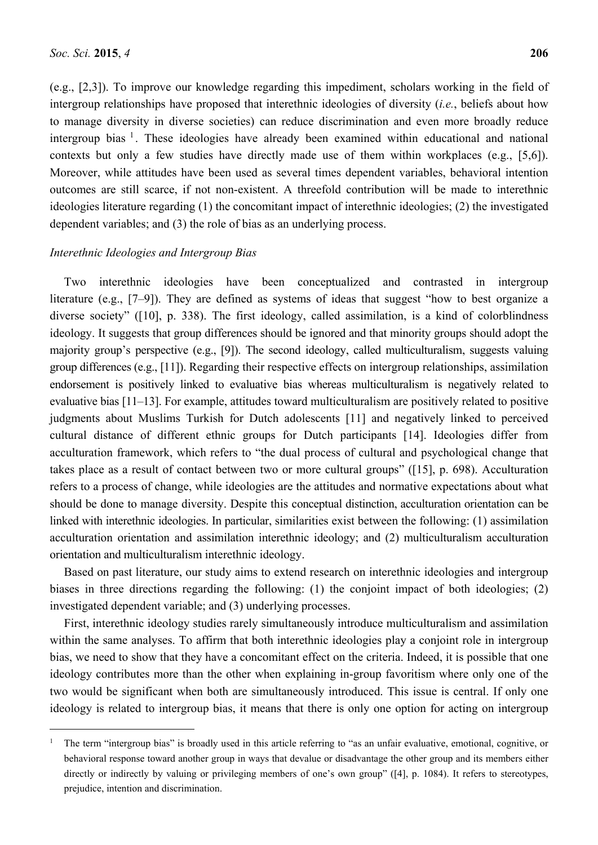$\overline{a}$ 

(e.g., [2,3]). To improve our knowledge regarding this impediment, scholars working in the field of intergroup relationships have proposed that interethnic ideologies of diversity (*i.e.*, beliefs about how to manage diversity in diverse societies) can reduce discrimination and even more broadly reduce intergroup bias  $\frac{1}{1}$ . These ideologies have already been examined within educational and national contexts but only a few studies have directly made use of them within workplaces (e.g., [5,6]). Moreover, while attitudes have been used as several times dependent variables, behavioral intention outcomes are still scarce, if not non-existent. A threefold contribution will be made to interethnic ideologies literature regarding (1) the concomitant impact of interethnic ideologies; (2) the investigated dependent variables; and (3) the role of bias as an underlying process.

#### *Interethnic Ideologies and Intergroup Bias*

Two interethnic ideologies have been conceptualized and contrasted in intergroup literature (e.g., [7–9]). They are defined as systems of ideas that suggest "how to best organize a diverse society" ([10], p. 338). The first ideology, called assimilation, is a kind of colorblindness ideology. It suggests that group differences should be ignored and that minority groups should adopt the majority group's perspective (e.g., [9]). The second ideology, called multiculturalism, suggests valuing group differences (e.g., [11]). Regarding their respective effects on intergroup relationships, assimilation endorsement is positively linked to evaluative bias whereas multiculturalism is negatively related to evaluative bias [11–13]. For example, attitudes toward multiculturalism are positively related to positive judgments about Muslims Turkish for Dutch adolescents [11] and negatively linked to perceived cultural distance of different ethnic groups for Dutch participants [14]. Ideologies differ from acculturation framework, which refers to "the dual process of cultural and psychological change that takes place as a result of contact between two or more cultural groups" ([15], p. 698). Acculturation refers to a process of change, while ideologies are the attitudes and normative expectations about what should be done to manage diversity. Despite this conceptual distinction, acculturation orientation can be linked with interethnic ideologies. In particular, similarities exist between the following: (1) assimilation acculturation orientation and assimilation interethnic ideology; and (2) multiculturalism acculturation orientation and multiculturalism interethnic ideology.

Based on past literature, our study aims to extend research on interethnic ideologies and intergroup biases in three directions regarding the following: (1) the conjoint impact of both ideologies; (2) investigated dependent variable; and (3) underlying processes.

First, interethnic ideology studies rarely simultaneously introduce multiculturalism and assimilation within the same analyses. To affirm that both interethnic ideologies play a conjoint role in intergroup bias, we need to show that they have a concomitant effect on the criteria. Indeed, it is possible that one ideology contributes more than the other when explaining in-group favoritism where only one of the two would be significant when both are simultaneously introduced. This issue is central. If only one ideology is related to intergroup bias, it means that there is only one option for acting on intergroup

<sup>1</sup> The term "intergroup bias" is broadly used in this article referring to "as an unfair evaluative, emotional, cognitive, or behavioral response toward another group in ways that devalue or disadvantage the other group and its members either directly or indirectly by valuing or privileging members of one's own group" ([4], p. 1084). It refers to stereotypes, prejudice, intention and discrimination.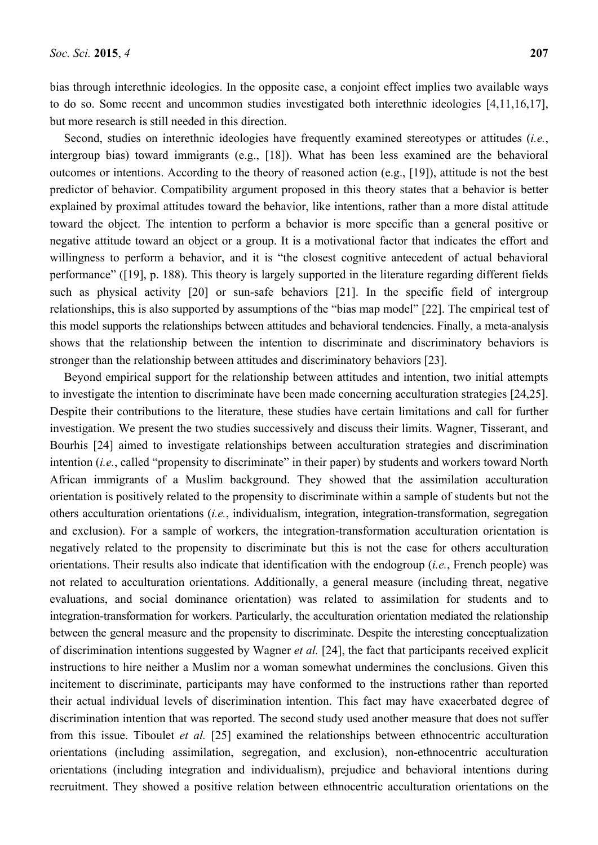Second, studies on interethnic ideologies have frequently examined stereotypes or attitudes (*i.e.*, intergroup bias) toward immigrants (e.g., [18]). What has been less examined are the behavioral outcomes or intentions. According to the theory of reasoned action (e.g., [19]), attitude is not the best predictor of behavior. Compatibility argument proposed in this theory states that a behavior is better explained by proximal attitudes toward the behavior, like intentions, rather than a more distal attitude toward the object. The intention to perform a behavior is more specific than a general positive or negative attitude toward an object or a group. It is a motivational factor that indicates the effort and willingness to perform a behavior, and it is "the closest cognitive antecedent of actual behavioral performance" ([19], p. 188). This theory is largely supported in the literature regarding different fields such as physical activity [20] or sun-safe behaviors [21]. In the specific field of intergroup relationships, this is also supported by assumptions of the "bias map model" [22]. The empirical test of this model supports the relationships between attitudes and behavioral tendencies. Finally, a meta-analysis shows that the relationship between the intention to discriminate and discriminatory behaviors is stronger than the relationship between attitudes and discriminatory behaviors [23].

Beyond empirical support for the relationship between attitudes and intention, two initial attempts to investigate the intention to discriminate have been made concerning acculturation strategies [24,25]. Despite their contributions to the literature, these studies have certain limitations and call for further investigation. We present the two studies successively and discuss their limits. Wagner, Tisserant, and Bourhis [24] aimed to investigate relationships between acculturation strategies and discrimination intention (*i.e.*, called "propensity to discriminate" in their paper) by students and workers toward North African immigrants of a Muslim background. They showed that the assimilation acculturation orientation is positively related to the propensity to discriminate within a sample of students but not the others acculturation orientations (*i.e.*, individualism, integration, integration-transformation, segregation and exclusion). For a sample of workers, the integration-transformation acculturation orientation is negatively related to the propensity to discriminate but this is not the case for others acculturation orientations. Their results also indicate that identification with the endogroup (*i.e.*, French people) was not related to acculturation orientations. Additionally, a general measure (including threat, negative evaluations, and social dominance orientation) was related to assimilation for students and to integration-transformation for workers. Particularly, the acculturation orientation mediated the relationship between the general measure and the propensity to discriminate. Despite the interesting conceptualization of discrimination intentions suggested by Wagner *et al.* [24], the fact that participants received explicit instructions to hire neither a Muslim nor a woman somewhat undermines the conclusions. Given this incitement to discriminate, participants may have conformed to the instructions rather than reported their actual individual levels of discrimination intention. This fact may have exacerbated degree of discrimination intention that was reported. The second study used another measure that does not suffer from this issue. Tiboulet *et al.* [25] examined the relationships between ethnocentric acculturation orientations (including assimilation, segregation, and exclusion), non-ethnocentric acculturation orientations (including integration and individualism), prejudice and behavioral intentions during recruitment. They showed a positive relation between ethnocentric acculturation orientations on the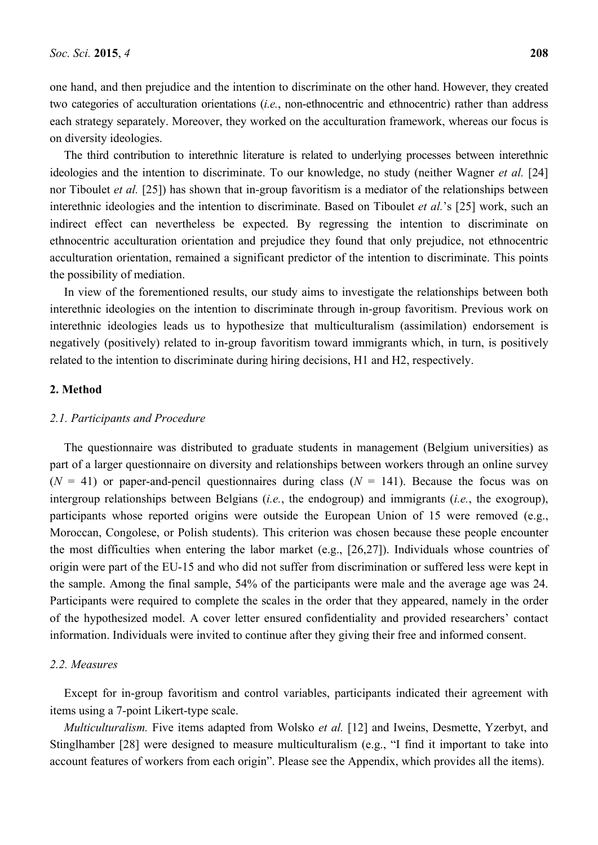one hand, and then prejudice and the intention to discriminate on the other hand. However, they created two categories of acculturation orientations (*i.e.*, non-ethnocentric and ethnocentric) rather than address each strategy separately. Moreover, they worked on the acculturation framework, whereas our focus is on diversity ideologies.

The third contribution to interethnic literature is related to underlying processes between interethnic ideologies and the intention to discriminate. To our knowledge, no study (neither Wagner *et al.* [24] nor Tiboulet *et al.* [25]) has shown that in-group favoritism is a mediator of the relationships between interethnic ideologies and the intention to discriminate. Based on Tiboulet *et al.*'s [25] work, such an indirect effect can nevertheless be expected. By regressing the intention to discriminate on ethnocentric acculturation orientation and prejudice they found that only prejudice, not ethnocentric acculturation orientation, remained a significant predictor of the intention to discriminate. This points the possibility of mediation.

In view of the forementioned results, our study aims to investigate the relationships between both interethnic ideologies on the intention to discriminate through in-group favoritism. Previous work on interethnic ideologies leads us to hypothesize that multiculturalism (assimilation) endorsement is negatively (positively) related to in-group favoritism toward immigrants which, in turn, is positively related to the intention to discriminate during hiring decisions, H1 and H2, respectively.

## **2. Method**

#### *2.1. Participants and Procedure*

The questionnaire was distributed to graduate students in management (Belgium universities) as part of a larger questionnaire on diversity and relationships between workers through an online survey  $(N = 41)$  or paper-and-pencil questionnaires during class  $(N = 141)$ . Because the focus was on intergroup relationships between Belgians (*i.e.*, the endogroup) and immigrants (*i.e.*, the exogroup), participants whose reported origins were outside the European Union of 15 were removed (e.g., Moroccan, Congolese, or Polish students). This criterion was chosen because these people encounter the most difficulties when entering the labor market (e.g., [26,27]). Individuals whose countries of origin were part of the EU-15 and who did not suffer from discrimination or suffered less were kept in the sample. Among the final sample, 54% of the participants were male and the average age was 24. Participants were required to complete the scales in the order that they appeared, namely in the order of the hypothesized model. A cover letter ensured confidentiality and provided researchers' contact information. Individuals were invited to continue after they giving their free and informed consent.

#### *2.2. Measures*

Except for in-group favoritism and control variables, participants indicated their agreement with items using a 7-point Likert-type scale.

*Multiculturalism.* Five items adapted from Wolsko *et al.* [12] and Iweins, Desmette, Yzerbyt, and Stinglhamber [28] were designed to measure multiculturalism (e.g., "I find it important to take into account features of workers from each origin". Please see the Appendix, which provides all the items).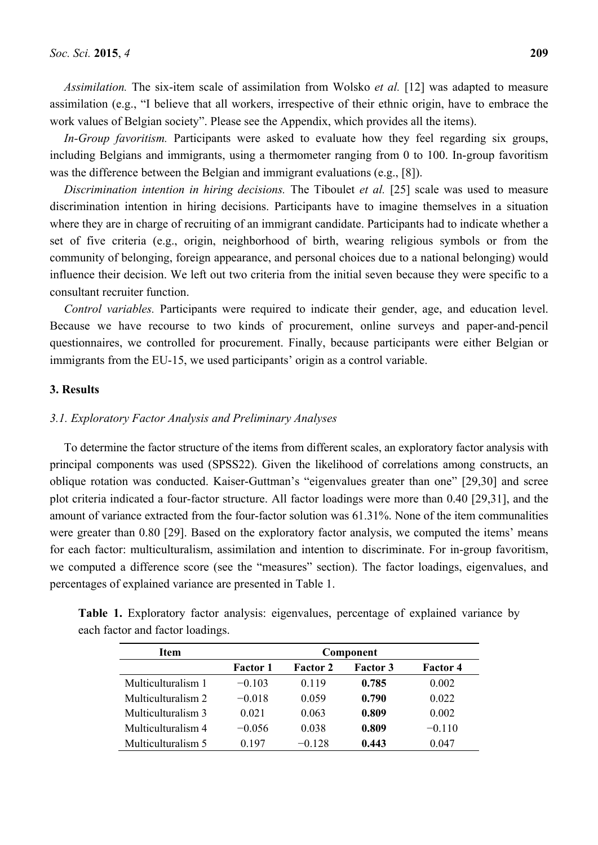*Assimilation.* The six-item scale of assimilation from Wolsko *et al.* [12] was adapted to measure assimilation (e.g., "I believe that all workers, irrespective of their ethnic origin, have to embrace the work values of Belgian society". Please see the Appendix, which provides all the items).

*In-Group favoritism.* Participants were asked to evaluate how they feel regarding six groups, including Belgians and immigrants, using a thermometer ranging from 0 to 100. In-group favoritism was the difference between the Belgian and immigrant evaluations (e.g., [8]).

*Discrimination intention in hiring decisions.* The Tiboulet *et al.* [25] scale was used to measure discrimination intention in hiring decisions. Participants have to imagine themselves in a situation where they are in charge of recruiting of an immigrant candidate. Participants had to indicate whether a set of five criteria (e.g., origin, neighborhood of birth, wearing religious symbols or from the community of belonging, foreign appearance, and personal choices due to a national belonging) would influence their decision. We left out two criteria from the initial seven because they were specific to a consultant recruiter function.

*Control variables.* Participants were required to indicate their gender, age, and education level. Because we have recourse to two kinds of procurement, online surveys and paper-and-pencil questionnaires, we controlled for procurement. Finally, because participants were either Belgian or immigrants from the EU-15, we used participants' origin as a control variable.

## **3. Results**

#### *3.1. Exploratory Factor Analysis and Preliminary Analyses*

To determine the factor structure of the items from different scales, an exploratory factor analysis with principal components was used (SPSS22). Given the likelihood of correlations among constructs, an oblique rotation was conducted. Kaiser-Guttman's "eigenvalues greater than one" [29,30] and scree plot criteria indicated a four-factor structure. All factor loadings were more than 0.40 [29,31], and the amount of variance extracted from the four-factor solution was 61.31%. None of the item communalities were greater than 0.80 [29]. Based on the exploratory factor analysis, we computed the items' means for each factor: multiculturalism, assimilation and intention to discriminate. For in-group favoritism, we computed a difference score (see the "measures" section). The factor loadings, eigenvalues, and percentages of explained variance are presented in Table 1.

| <b>Item</b>        | Component       |                 |                 |                 |  |  |  |
|--------------------|-----------------|-----------------|-----------------|-----------------|--|--|--|
|                    | <b>Factor 1</b> | <b>Factor 2</b> | <b>Factor 3</b> | <b>Factor 4</b> |  |  |  |
| Multiculturalism 1 | $-0.103$        | 0.119           | 0.785           | 0.002           |  |  |  |
| Multiculturalism 2 | $-0.018$        | 0.059           | 0.790           | 0.022           |  |  |  |
| Multiculturalism 3 | 0.021           | 0.063           | 0.809           | 0.002           |  |  |  |
| Multiculturalism 4 | $-0.056$        | 0.038           | 0.809           | $-0.110$        |  |  |  |
| Multiculturalism 5 | በ 197           | $-0.128$        | 0.443           | 0.047           |  |  |  |

**Table 1.** Exploratory factor analysis: eigenvalues, percentage of explained variance by each factor and factor loadings.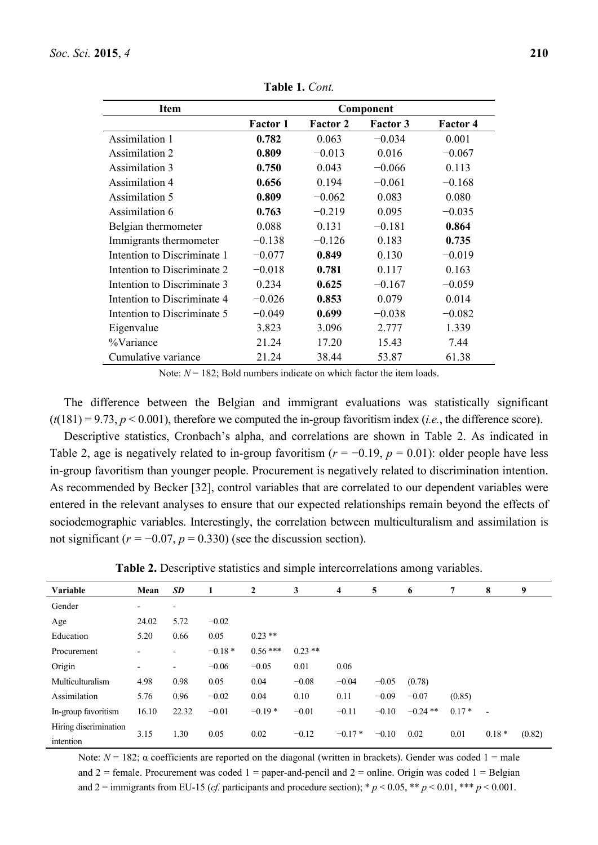| Item                        | Component       |                 |                 |                 |  |  |  |
|-----------------------------|-----------------|-----------------|-----------------|-----------------|--|--|--|
|                             | <b>Factor 1</b> | <b>Factor 2</b> | <b>Factor 3</b> | <b>Factor 4</b> |  |  |  |
| Assimilation 1              | 0.782           | 0.063           | $-0.034$        | 0.001           |  |  |  |
| Assimilation 2              | 0.809           | $-0.013$        | 0.016           | $-0.067$        |  |  |  |
| Assimilation 3              | 0.750           | 0.043           | $-0.066$        | 0.113           |  |  |  |
| <b>Assimilation 4</b>       | 0.656           | 0.194           | $-0.061$        | $-0.168$        |  |  |  |
| Assimilation 5              | 0.809           | $-0.062$        | 0.083           | 0.080           |  |  |  |
| Assimilation 6              | 0.763           | $-0.219$        | 0.095           | $-0.035$        |  |  |  |
| Belgian thermometer         | 0.088           | 0.131           | $-0.181$        | 0.864           |  |  |  |
| Immigrants thermometer      | $-0.138$        | $-0.126$        | 0.183           | 0.735           |  |  |  |
| Intention to Discriminate 1 | $-0.077$        | 0.849           | 0.130           | $-0.019$        |  |  |  |
| Intention to Discriminate 2 | $-0.018$        | 0.781           | 0.117           | 0.163           |  |  |  |
| Intention to Discriminate 3 | 0.234           | 0.625           | $-0.167$        | $-0.059$        |  |  |  |
| Intention to Discriminate 4 | $-0.026$        | 0.853           | 0.079           | 0.014           |  |  |  |
| Intention to Discriminate 5 | $-0.049$        | 0.699           | $-0.038$        | $-0.082$        |  |  |  |
| Eigenvalue                  | 3.823           | 3.096           | 2.777           | 1.339           |  |  |  |
| %Variance                   | 21.24           | 17.20           | 15.43           | 7.44            |  |  |  |
| Cumulative variance         | 21.24           | 38.44           | 53.87           | 61.38           |  |  |  |

**Table 1.** *Cont.* 

Note:  $N = 182$ ; Bold numbers indicate on which factor the item loads.

The difference between the Belgian and immigrant evaluations was statistically significant  $(t(181) = 9.73, p < 0.001)$ , therefore we computed the in-group favoritism index (*i.e.*, the difference score).

Descriptive statistics, Cronbach's alpha, and correlations are shown in Table 2. As indicated in Table 2, age is negatively related to in-group favoritism  $(r = -0.19, p = 0.01)$ : older people have less in-group favoritism than younger people. Procurement is negatively related to discrimination intention. As recommended by Becker [32], control variables that are correlated to our dependent variables were entered in the relevant analyses to ensure that our expected relationships remain beyond the effects of sociodemographic variables. Interestingly, the correlation between multiculturalism and assimilation is not significant  $(r = -0.07, p = 0.330)$  (see the discussion section).

**Table 2.** Descriptive statistics and simple intercorrelations among variables.

| Variable              | Mean         | <b>SD</b>                | 1        | $\mathbf{2}$ | 3         | 4        | 5       | 6          | 7       | 8                        | 9      |
|-----------------------|--------------|--------------------------|----------|--------------|-----------|----------|---------|------------|---------|--------------------------|--------|
| Gender                | -            | $\overline{\phantom{a}}$ |          |              |           |          |         |            |         |                          |        |
| Age                   | 24.02        | 5.72                     | $-0.02$  |              |           |          |         |            |         |                          |        |
| Education             | 5.20         | 0.66                     | 0.05     | $0.23**$     |           |          |         |            |         |                          |        |
| Procurement           | -            | Ξ.                       | $-0.18*$ | $0.56***$    | $0.23$ ** |          |         |            |         |                          |        |
| Origin                | -            |                          | $-0.06$  | $-0.05$      | 0.01      | 0.06     |         |            |         |                          |        |
| Multiculturalism      | 4.98         | 0.98                     | 0.05     | 0.04         | $-0.08$   | $-0.04$  | $-0.05$ | (0.78)     |         |                          |        |
| Assimilation          | 5.76         | 0.96                     | $-0.02$  | 0.04         | 0.10      | 0.11     | $-0.09$ | $-0.07$    | (0.85)  |                          |        |
| In-group favoritism   | 16.10        | 22.32                    | $-0.01$  | $-0.19*$     | $-0.01$   | $-0.11$  | $-0.10$ | $-0.24$ ** | $0.17*$ | $\overline{\phantom{a}}$ |        |
| Hiring discrimination |              |                          |          |              |           | $-0.17*$ |         |            |         |                          |        |
| intention             | 1.30<br>3.15 |                          | 0.05     | 0.02         | $-0.12$   |          | $-0.10$ | 0.02       | 0.01    | $0.18*$                  | (0.82) |

Note:  $N = 182$ ; α coefficients are reported on the diagonal (written in brackets). Gender was coded 1 = male and  $2 =$  female. Procurement was coded  $1 =$  paper-and-pencil and  $2 =$  online. Origin was coded  $1 =$  Belgian and  $2 = \text{immigrams from EU-15 } (cf. \text{ participants and procedure section)}; * p < 0.05, ** p < 0.01, ** p < 0.001.$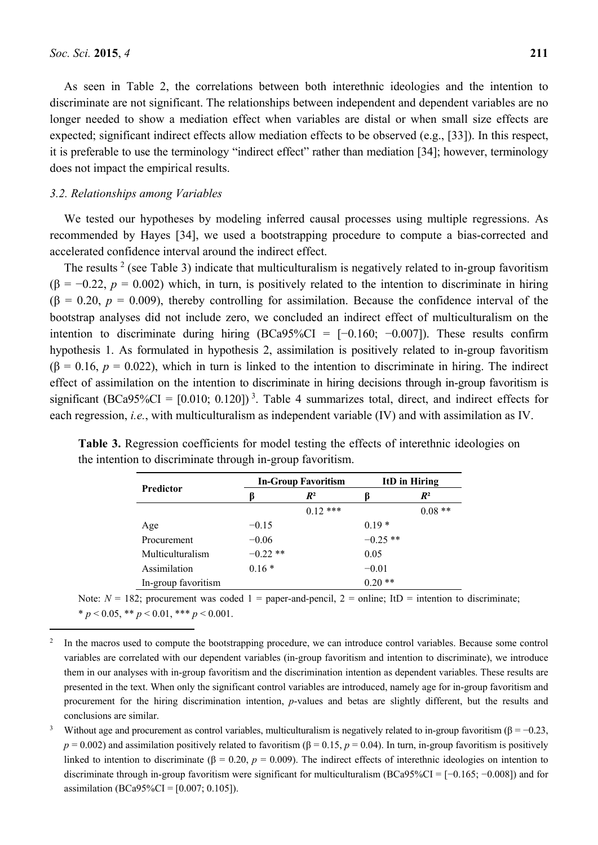$\overline{a}$ 

As seen in Table 2, the correlations between both interethnic ideologies and the intention to discriminate are not significant. The relationships between independent and dependent variables are no longer needed to show a mediation effect when variables are distal or when small size effects are expected; significant indirect effects allow mediation effects to be observed (e.g., [33]). In this respect, it is preferable to use the terminology "indirect effect" rather than mediation [34]; however, terminology does not impact the empirical results.

#### *3.2. Relationships among Variables*

We tested our hypotheses by modeling inferred causal processes using multiple regressions. As recommended by Hayes [34], we used a bootstrapping procedure to compute a bias-corrected and accelerated confidence interval around the indirect effect.

The results  $2$  (see Table 3) indicate that multiculturalism is negatively related to in-group favoritism ( $\beta$  = −0.22, *p* = 0.002) which, in turn, is positively related to the intention to discriminate in hiring  $(\beta = 0.20, p = 0.009)$ , thereby controlling for assimilation. Because the confidence interval of the bootstrap analyses did not include zero, we concluded an indirect effect of multiculturalism on the intention to discriminate during hiring (BCa95%CI =  $[-0.160; -0.007]$ ). These results confirm hypothesis 1. As formulated in hypothesis 2, assimilation is positively related to in-group favoritism  $(\beta = 0.16, p = 0.022)$ , which in turn is linked to the intention to discriminate in hiring. The indirect effect of assimilation on the intention to discriminate in hiring decisions through in-group favoritism is significant (BCa95%CI =  $[0.010; 0.120]$ )<sup>3</sup>. Table 4 summarizes total, direct, and indirect effects for each regression, *i.e.*, with multiculturalism as independent variable (IV) and with assimilation as IV.

|                     |            | <b>In-Group Favoritism</b> | ItD in Hiring |          |  |
|---------------------|------------|----------------------------|---------------|----------|--|
| <b>Predictor</b>    |            | $R^2$                      |               | $R^2$    |  |
|                     |            | $0.12***$                  |               | $0.08**$ |  |
| Age                 | $-0.15$    |                            | $0.19*$       |          |  |
| Procurement         | $-0.06$    |                            | $-0.25$ **    |          |  |
| Multiculturalism    | $-0.22$ ** |                            | 0.05          |          |  |
| Assimilation        | $0.16*$    |                            | $-0.01$       |          |  |
| In-group favoritism |            |                            | $0.20**$      |          |  |

**Table 3.** Regression coefficients for model testing the effects of interethnic ideologies on the intention to discriminate through in-group favoritism.

Note:  $N = 182$ ; procurement was coded  $1 =$  paper-and-pencil,  $2 =$  online; ItD = intention to discriminate;  $* p < 0.05, ** p < 0.01, *** p < 0.001.$ 

<sup>2</sup> In the macros used to compute the bootstrapping procedure, we can introduce control variables. Because some control variables are correlated with our dependent variables (in-group favoritism and intention to discriminate), we introduce them in our analyses with in-group favoritism and the discrimination intention as dependent variables. These results are presented in the text. When only the significant control variables are introduced, namely age for in-group favoritism and procurement for the hiring discrimination intention, *p*-values and betas are slightly different, but the results and conclusions are similar.

<sup>3</sup> Without age and procurement as control variables, multiculturalism is negatively related to in-group favoritism ( $\beta = -0.23$ ,  $p = 0.002$ ) and assimilation positively related to favoritism ( $\beta = 0.15$ ,  $p = 0.04$ ). In turn, in-group favoritism is positively linked to intention to discriminate (β = 0.20,  $p = 0.009$ ). The indirect effects of interethnic ideologies on intention to discriminate through in-group favoritism were significant for multiculturalism (BCa95%CI = [−0.165; −0.008]) and for assimilation (BCa95%CI =  $[0.007; 0.105]$ ).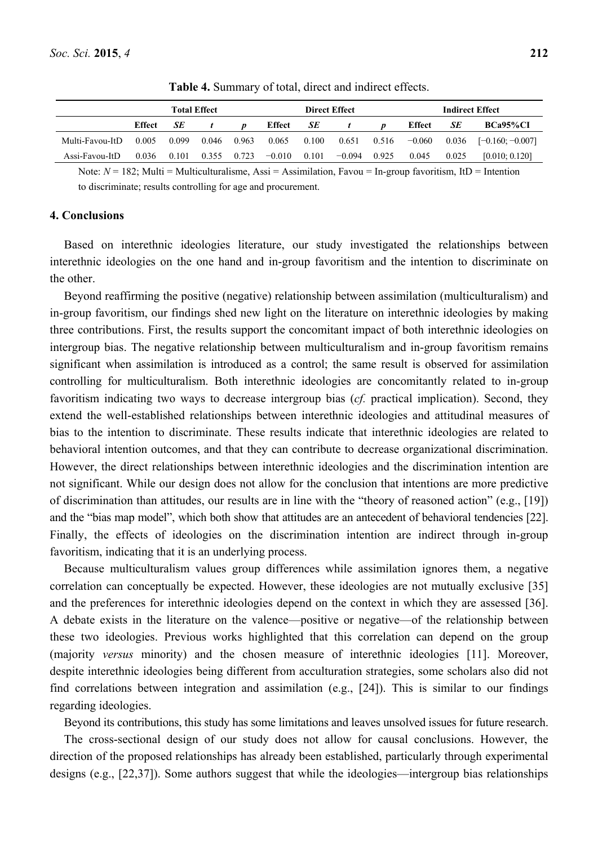|                         |        |       | <b>Total Effect</b> |       | <b>Direct Effect</b><br><b>Indirect Effect</b> |       |                  |       |                |       |                            |
|-------------------------|--------|-------|---------------------|-------|------------------------------------------------|-------|------------------|-------|----------------|-------|----------------------------|
|                         | Effect | SE    |                     |       | Effect                                         | SE    | $\boldsymbol{t}$ | D     | Effect         | SE    | BCa95%CI                   |
| Multi-Favou-ItD         | 0.005  | 0.099 | 0.046               | 0.963 | 0.065                                          | 0.100 | 0.651            |       | $0.516 -0.060$ |       | $0.036$ $[-0.160; -0.007]$ |
| $\text{Assi-Favou-ItD}$ | 0.036  | 0.101 | 0.355               | 0.723 | $-0.010$                                       |       | $0.101 - 0.094$  | 0.925 | 0.045          | 0.025 | [0.010; 0.120]             |

**Table 4.** Summary of total, direct and indirect effects.

Note:  $N = 182$ ; Multi = Multiculturalisme, Assi = Assimilation, Favou = In-group favoritism, ItD = Intention to discriminate; results controlling for age and procurement.

## **4. Conclusions**

Based on interethnic ideologies literature, our study investigated the relationships between interethnic ideologies on the one hand and in-group favoritism and the intention to discriminate on the other.

Beyond reaffirming the positive (negative) relationship between assimilation (multiculturalism) and in-group favoritism, our findings shed new light on the literature on interethnic ideologies by making three contributions. First, the results support the concomitant impact of both interethnic ideologies on intergroup bias. The negative relationship between multiculturalism and in-group favoritism remains significant when assimilation is introduced as a control; the same result is observed for assimilation controlling for multiculturalism. Both interethnic ideologies are concomitantly related to in-group favoritism indicating two ways to decrease intergroup bias (*cf.* practical implication). Second, they extend the well-established relationships between interethnic ideologies and attitudinal measures of bias to the intention to discriminate. These results indicate that interethnic ideologies are related to behavioral intention outcomes, and that they can contribute to decrease organizational discrimination. However, the direct relationships between interethnic ideologies and the discrimination intention are not significant. While our design does not allow for the conclusion that intentions are more predictive of discrimination than attitudes, our results are in line with the "theory of reasoned action" (e.g., [19]) and the "bias map model", which both show that attitudes are an antecedent of behavioral tendencies [22]. Finally, the effects of ideologies on the discrimination intention are indirect through in-group favoritism, indicating that it is an underlying process.

Because multiculturalism values group differences while assimilation ignores them, a negative correlation can conceptually be expected. However, these ideologies are not mutually exclusive [35] and the preferences for interethnic ideologies depend on the context in which they are assessed [36]. A debate exists in the literature on the valence—positive or negative—of the relationship between these two ideologies. Previous works highlighted that this correlation can depend on the group (majority *versus* minority) and the chosen measure of interethnic ideologies [11]. Moreover, despite interethnic ideologies being different from acculturation strategies, some scholars also did not find correlations between integration and assimilation (e.g., [24]). This is similar to our findings regarding ideologies.

Beyond its contributions, this study has some limitations and leaves unsolved issues for future research.

The cross-sectional design of our study does not allow for causal conclusions. However, the direction of the proposed relationships has already been established, particularly through experimental designs (e.g., [22,37]). Some authors suggest that while the ideologies—intergroup bias relationships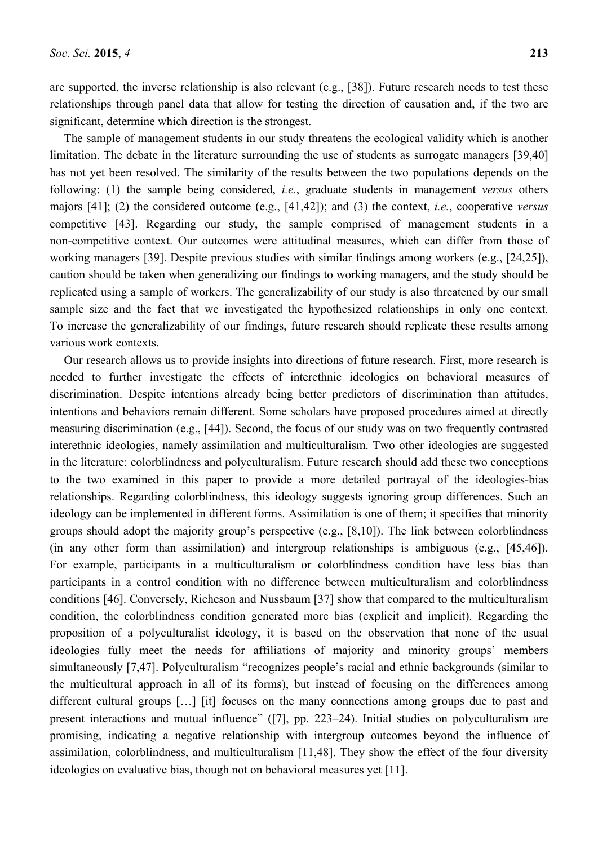are supported, the inverse relationship is also relevant (e.g., [38]). Future research needs to test these relationships through panel data that allow for testing the direction of causation and, if the two are significant, determine which direction is the strongest.

The sample of management students in our study threatens the ecological validity which is another limitation. The debate in the literature surrounding the use of students as surrogate managers [39,40] has not yet been resolved. The similarity of the results between the two populations depends on the following: (1) the sample being considered, *i.e.*, graduate students in management *versus* others majors [41]; (2) the considered outcome (e.g., [41,42]); and (3) the context, *i.e.*, cooperative *versus* competitive [43]. Regarding our study, the sample comprised of management students in a non-competitive context. Our outcomes were attitudinal measures, which can differ from those of working managers [39]. Despite previous studies with similar findings among workers (e.g., [24,25]), caution should be taken when generalizing our findings to working managers, and the study should be replicated using a sample of workers. The generalizability of our study is also threatened by our small sample size and the fact that we investigated the hypothesized relationships in only one context. To increase the generalizability of our findings, future research should replicate these results among various work contexts.

Our research allows us to provide insights into directions of future research. First, more research is needed to further investigate the effects of interethnic ideologies on behavioral measures of discrimination. Despite intentions already being better predictors of discrimination than attitudes, intentions and behaviors remain different. Some scholars have proposed procedures aimed at directly measuring discrimination (e.g., [44]). Second, the focus of our study was on two frequently contrasted interethnic ideologies, namely assimilation and multiculturalism. Two other ideologies are suggested in the literature: colorblindness and polyculturalism. Future research should add these two conceptions to the two examined in this paper to provide a more detailed portrayal of the ideologies-bias relationships. Regarding colorblindness, this ideology suggests ignoring group differences. Such an ideology can be implemented in different forms. Assimilation is one of them; it specifies that minority groups should adopt the majority group's perspective (e.g., [8,10]). The link between colorblindness (in any other form than assimilation) and intergroup relationships is ambiguous (e.g., [45,46]). For example, participants in a multiculturalism or colorblindness condition have less bias than participants in a control condition with no difference between multiculturalism and colorblindness conditions [46]. Conversely, Richeson and Nussbaum [37] show that compared to the multiculturalism condition, the colorblindness condition generated more bias (explicit and implicit). Regarding the proposition of a polyculturalist ideology, it is based on the observation that none of the usual ideologies fully meet the needs for affiliations of majority and minority groups' members simultaneously [7,47]. Polyculturalism "recognizes people's racial and ethnic backgrounds (similar to the multicultural approach in all of its forms), but instead of focusing on the differences among different cultural groups […] [it] focuses on the many connections among groups due to past and present interactions and mutual influence" ([7], pp. 223–24). Initial studies on polyculturalism are promising, indicating a negative relationship with intergroup outcomes beyond the influence of assimilation, colorblindness, and multiculturalism [11,48]. They show the effect of the four diversity ideologies on evaluative bias, though not on behavioral measures yet [11].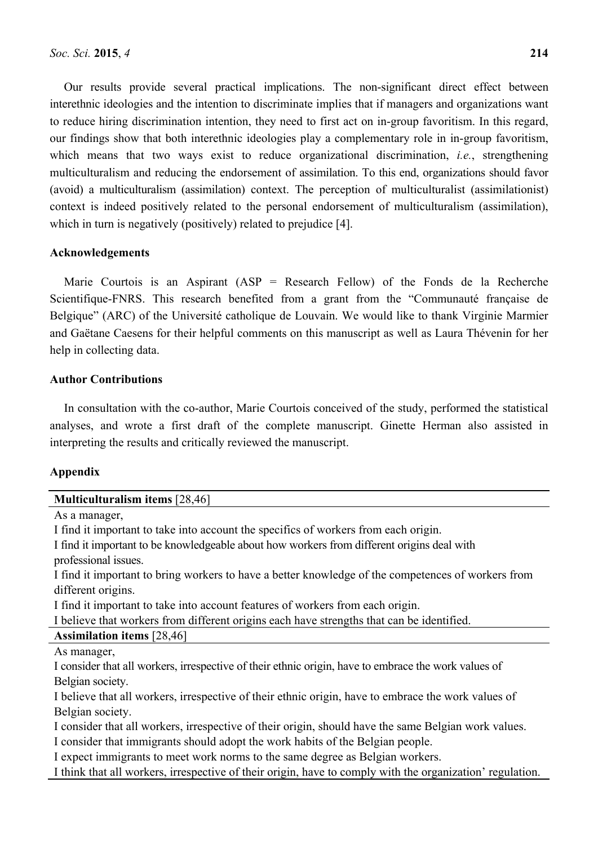Our results provide several practical implications. The non-significant direct effect between interethnic ideologies and the intention to discriminate implies that if managers and organizations want to reduce hiring discrimination intention, they need to first act on in-group favoritism. In this regard, our findings show that both interethnic ideologies play a complementary role in in-group favoritism, which means that two ways exist to reduce organizational discrimination, *i.e.*, strengthening multiculturalism and reducing the endorsement of assimilation. To this end, organizations should favor (avoid) a multiculturalism (assimilation) context. The perception of multiculturalist (assimilationist) context is indeed positively related to the personal endorsement of multiculturalism (assimilation), which in turn is negatively (positively) related to prejudice [4].

## **Acknowledgements**

Marie Courtois is an Aspirant  $(ASP = Research Fellow)$  of the Fonds de la Recherche Scientifique-FNRS. This research benefited from a grant from the "Communauté française de Belgique" (ARC) of the Université catholique de Louvain. We would like to thank Virginie Marmier and Gaëtane Caesens for their helpful comments on this manuscript as well as Laura Thévenin for her help in collecting data.

## **Author Contributions**

In consultation with the co-author, Marie Courtois conceived of the study, performed the statistical analyses, and wrote a first draft of the complete manuscript. Ginette Herman also assisted in interpreting the results and critically reviewed the manuscript.

## **Appendix**

| <b>Multiculturalism items</b> [28,46]                                                                     |
|-----------------------------------------------------------------------------------------------------------|
| As a manager,                                                                                             |
| I find it important to take into account the specifics of workers from each origin.                       |
| I find it important to be knowledgeable about how workers from different origins deal with                |
| professional issues.                                                                                      |
| I find it important to bring workers to have a better knowledge of the competences of workers from        |
| different origins.                                                                                        |
| I find it important to take into account features of workers from each origin.                            |
| I believe that workers from different origins each have strengths that can be identified.                 |
| <b>Assimilation items</b> [28,46]                                                                         |
| As manager,                                                                                               |
| I consider that all workers, irrespective of their ethnic origin, have to embrace the work values of      |
| Belgian society.                                                                                          |
| I believe that all workers, irrespective of their ethnic origin, have to embrace the work values of       |
| Belgian society.                                                                                          |
| I consider that all workers, irrespective of their origin, should have the same Belgian work values.      |
| I consider that immigrants should adopt the work habits of the Belgian people.                            |
| I expect immigrants to meet work norms to the same degree as Belgian workers.                             |
| I think that all workers, irrespective of their origin, have to comply with the organization' regulation. |
|                                                                                                           |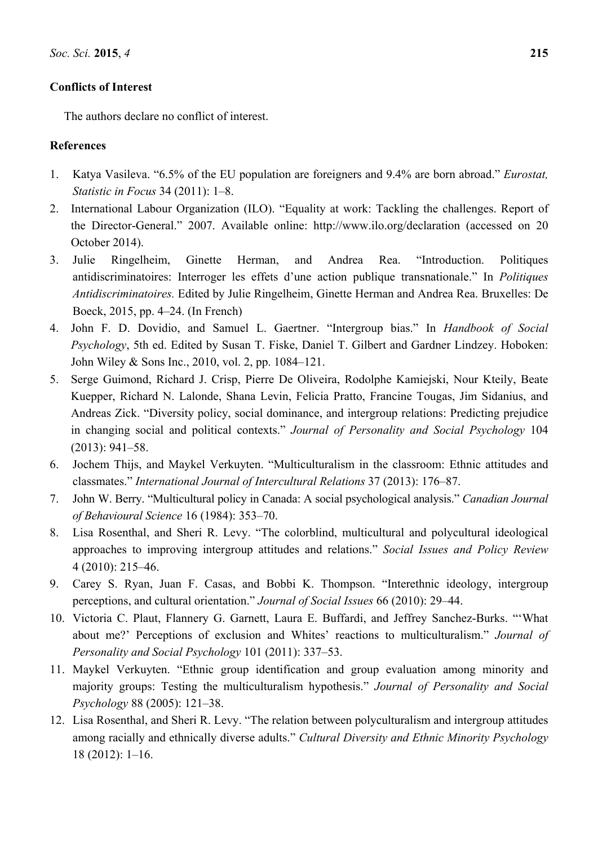## **Conflicts of Interest**

The authors declare no conflict of interest.

# **References**

- 1. Katya Vasileva. "6.5% of the EU population are foreigners and 9.4% are born abroad." *Eurostat, Statistic in Focus* 34 (2011): 1–8.
- 2. International Labour Organization (ILO). "Equality at work: Tackling the challenges. Report of the Director-General." 2007. Available online: http://www.ilo.org/declaration (accessed on 20 October 2014).
- 3. Julie Ringelheim, Ginette Herman, and Andrea Rea. "Introduction. Politiques antidiscriminatoires: Interroger les effets d'une action publique transnationale." In *Politiques Antidiscriminatoires.* Edited by Julie Ringelheim, Ginette Herman and Andrea Rea. Bruxelles: De Boeck, 2015, pp. 4–24. (In French)
- 4. John F. D. Dovidio, and Samuel L. Gaertner. "Intergroup bias." In *Handbook of Social Psychology*, 5th ed. Edited by Susan T. Fiske, Daniel T. Gilbert and Gardner Lindzey. Hoboken: John Wiley & Sons Inc., 2010, vol. 2, pp. 1084–121.
- 5. Serge Guimond, Richard J. Crisp, Pierre De Oliveira, Rodolphe Kamiejski, Nour Kteily, Beate Kuepper, Richard N. Lalonde, Shana Levin, Felicia Pratto, Francine Tougas, Jim Sidanius, and Andreas Zick. "Diversity policy, social dominance, and intergroup relations: Predicting prejudice in changing social and political contexts." *Journal of Personality and Social Psychology* 104 (2013): 941–58.
- 6. Jochem Thijs, and Maykel Verkuyten. "Multiculturalism in the classroom: Ethnic attitudes and classmates." *International Journal of Intercultural Relations* 37 (2013): 176–87.
- 7. John W. Berry. "Multicultural policy in Canada: A social psychological analysis." *Canadian Journal of Behavioural Science* 16 (1984): 353–70.
- 8. Lisa Rosenthal, and Sheri R. Levy. "The colorblind, multicultural and polycultural ideological approaches to improving intergroup attitudes and relations." *Social Issues and Policy Review* 4 (2010): 215–46.
- 9. Carey S. Ryan, Juan F. Casas, and Bobbi K. Thompson. "Interethnic ideology, intergroup perceptions, and cultural orientation." *Journal of Social Issues* 66 (2010): 29–44.
- 10. Victoria C. Plaut, Flannery G. Garnett, Laura E. Buffardi, and Jeffrey Sanchez-Burks. "'What about me?' Perceptions of exclusion and Whites' reactions to multiculturalism." *Journal of Personality and Social Psychology* 101 (2011): 337–53.
- 11. Maykel Verkuyten. "Ethnic group identification and group evaluation among minority and majority groups: Testing the multiculturalism hypothesis." *Journal of Personality and Social Psychology* 88 (2005): 121–38.
- 12. Lisa Rosenthal, and Sheri R. Levy. "The relation between polyculturalism and intergroup attitudes among racially and ethnically diverse adults." *Cultural Diversity and Ethnic Minority Psychology* 18 (2012): 1–16.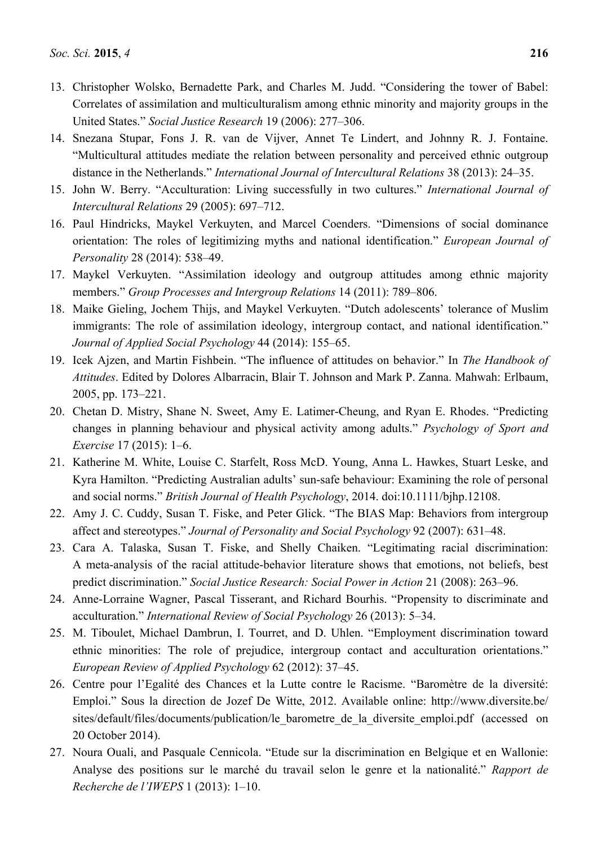- 13. Christopher Wolsko, Bernadette Park, and Charles M. Judd. "Considering the tower of Babel: Correlates of assimilation and multiculturalism among ethnic minority and majority groups in the United States." *Social Justice Research* 19 (2006): 277–306.
- 14. Snezana Stupar, Fons J. R. van de Vijver, Annet Te Lindert, and Johnny R. J. Fontaine. "Multicultural attitudes mediate the relation between personality and perceived ethnic outgroup distance in the Netherlands." *International Journal of Intercultural Relations* 38 (2013): 24–35.
- 15. John W. Berry. "Acculturation: Living successfully in two cultures." *International Journal of Intercultural Relations* 29 (2005): 697–712.
- 16. Paul Hindricks, Maykel Verkuyten, and Marcel Coenders. "Dimensions of social dominance orientation: The roles of legitimizing myths and national identification." *European Journal of Personality* 28 (2014): 538–49.
- 17. Maykel Verkuyten. "Assimilation ideology and outgroup attitudes among ethnic majority members." *Group Processes and Intergroup Relations* 14 (2011): 789–806.
- 18. Maike Gieling, Jochem Thijs, and Maykel Verkuyten. "Dutch adolescents' tolerance of Muslim immigrants: The role of assimilation ideology, intergroup contact, and national identification." *Journal of Applied Social Psychology* 44 (2014): 155–65.
- 19. Icek Ajzen, and Martin Fishbein. "The influence of attitudes on behavior." In *The Handbook of Attitudes*. Edited by Dolores Albarracin, Blair T. Johnson and Mark P. Zanna. Mahwah: Erlbaum, 2005, pp. 173–221.
- 20. Chetan D. Mistry, Shane N. Sweet, Amy E. Latimer-Cheung, and Ryan E. Rhodes. "Predicting changes in planning behaviour and physical activity among adults." *Psychology of Sport and Exercise* 17 (2015): 1–6.
- 21. Katherine M. White, Louise C. Starfelt, Ross McD. Young, Anna L. Hawkes, Stuart Leske, and Kyra Hamilton. "Predicting Australian adults' sun-safe behaviour: Examining the role of personal and social norms." *British Journal of Health Psychology*, 2014. doi:10.1111/bjhp.12108.
- 22. Amy J. C. Cuddy, Susan T. Fiske, and Peter Glick. "The BIAS Map: Behaviors from intergroup affect and stereotypes." *Journal of Personality and Social Psychology* 92 (2007): 631–48.
- 23. Cara A. Talaska, Susan T. Fiske, and Shelly Chaiken. "Legitimating racial discrimination: A meta-analysis of the racial attitude-behavior literature shows that emotions, not beliefs, best predict discrimination." *Social Justice Research: Social Power in Action* 21 (2008): 263–96.
- 24. Anne-Lorraine Wagner, Pascal Tisserant, and Richard Bourhis. "Propensity to discriminate and acculturation." *International Review of Social Psychology* 26 (2013): 5–34.
- 25. M. Tiboulet, Michael Dambrun, I. Tourret, and D. Uhlen. "Employment discrimination toward ethnic minorities: The role of prejudice, intergroup contact and acculturation orientations." *European Review of Applied Psychology* 62 (2012): 37–45.
- 26. Centre pour l'Egalité des Chances et la Lutte contre le Racisme. "Baromètre de la diversité: Emploi." Sous la direction de Jozef De Witte, 2012. Available online: http://www.diversite.be/ sites/default/files/documents/publication/le\_barometre\_de\_la\_diversite\_emploi.pdf (accessed on 20 October 2014).
- 27. Noura Ouali, and Pasquale Cennicola. "Etude sur la discrimination en Belgique et en Wallonie: Analyse des positions sur le marché du travail selon le genre et la nationalité." *Rapport de Recherche de l'IWEPS* 1 (2013): 1–10.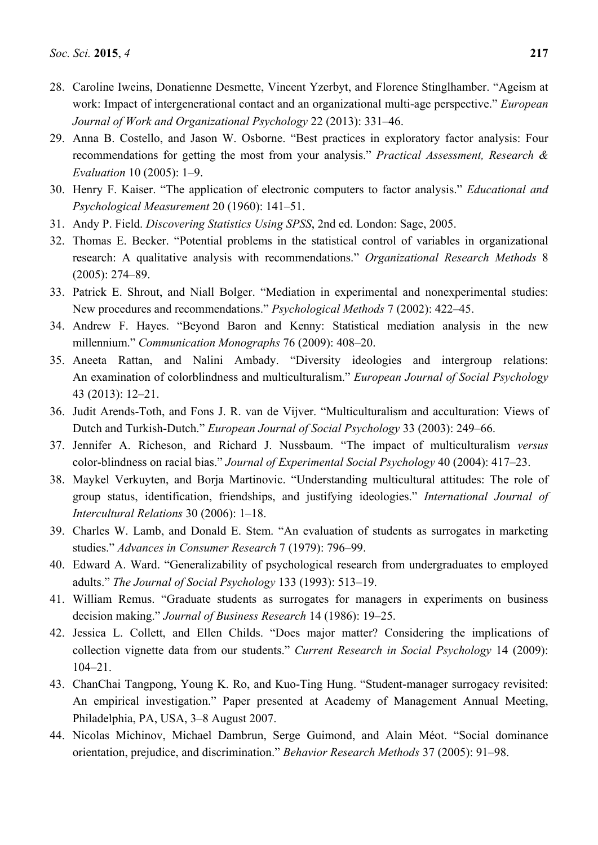- 28. Caroline Iweins, Donatienne Desmette, Vincent Yzerbyt, and Florence Stinglhamber. "Ageism at work: Impact of intergenerational contact and an organizational multi-age perspective." *European Journal of Work and Organizational Psychology* 22 (2013): 331–46.
- 29. Anna B. Costello, and Jason W. Osborne. "Best practices in exploratory factor analysis: Four recommendations for getting the most from your analysis." *Practical Assessment, Research & Evaluation* 10 (2005): 1–9.
- 30. Henry F. Kaiser. "The application of electronic computers to factor analysis." *Educational and Psychological Measurement* 20 (1960): 141–51.
- 31. Andy P. Field. *Discovering Statistics Using SPSS*, 2nd ed. London: Sage, 2005.
- 32. Thomas E. Becker. "Potential problems in the statistical control of variables in organizational research: A qualitative analysis with recommendations." *Organizational Research Methods* 8 (2005): 274–89.
- 33. Patrick E. Shrout, and Niall Bolger. "Mediation in experimental and nonexperimental studies: New procedures and recommendations." *Psychological Methods* 7 (2002): 422–45.
- 34. Andrew F. Hayes. "Beyond Baron and Kenny: Statistical mediation analysis in the new millennium." *Communication Monographs* 76 (2009): 408–20.
- 35. Aneeta Rattan, and Nalini Ambady. "Diversity ideologies and intergroup relations: An examination of colorblindness and multiculturalism." *European Journal of Social Psychology* 43 (2013): 12–21.
- 36. Judit Arends-Toth, and Fons J. R. van de Vijver. "Multiculturalism and acculturation: Views of Dutch and Turkish-Dutch." *European Journal of Social Psychology* 33 (2003): 249–66.
- 37. Jennifer A. Richeson, and Richard J. Nussbaum. "The impact of multiculturalism *versus* color-blindness on racial bias." *Journal of Experimental Social Psychology* 40 (2004): 417–23.
- 38. Maykel Verkuyten, and Borja Martinovic. "Understanding multicultural attitudes: The role of group status, identification, friendships, and justifying ideologies." *International Journal of Intercultural Relations* 30 (2006): 1–18.
- 39. Charles W. Lamb, and Donald E. Stem. "An evaluation of students as surrogates in marketing studies." *Advances in Consumer Research* 7 (1979): 796–99.
- 40. Edward A. Ward. "Generalizability of psychological research from undergraduates to employed adults." *The Journal of Social Psychology* 133 (1993): 513–19.
- 41. William Remus. "Graduate students as surrogates for managers in experiments on business decision making." *Journal of Business Research* 14 (1986): 19–25.
- 42. Jessica L. Collett, and Ellen Childs. "Does major matter? Considering the implications of collection vignette data from our students." *Current Research in Social Psychology* 14 (2009): 104–21.
- 43. ChanChai Tangpong, Young K. Ro, and Kuo-Ting Hung. "Student-manager surrogacy revisited: An empirical investigation." Paper presented at Academy of Management Annual Meeting, Philadelphia, PA, USA, 3–8 August 2007.
- 44. Nicolas Michinov, Michael Dambrun, Serge Guimond, and Alain Méot. "Social dominance orientation, prejudice, and discrimination." *Behavior Research Methods* 37 (2005): 91–98.